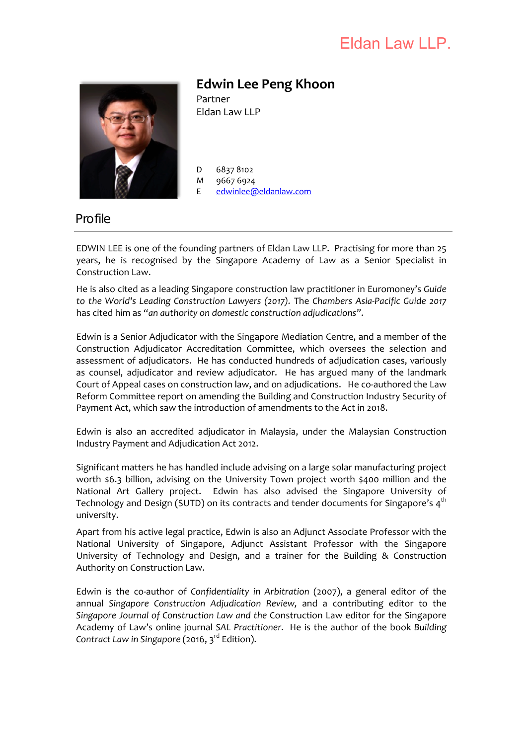# Eldan Law LLP.



# **Edwin Lee Peng Khoon**

Partner Eldan Law LLP

D 6837 8102 M 9667 6924

E [edwinlee@eldanlaw.com](mailto:edwinlee@eldanlaw.com)

# **Profile**

EDWIN LEE is one of the founding partners of Eldan Law LLP. Practising for more than 25 years, he is recognised by the Singapore Academy of Law as a Senior Specialist in Construction Law.

He is also cited as a leading Singapore construction law practitioner in Euromoney's *Guide to the World's Leading Construction Lawyers (2017).* The *Chambers Asia‐Pacific Guide 2017* has cited him as *"an authority on domestic construction adjudications"*.

Edwin is a Senior Adjudicator with the Singapore Mediation Centre, and a member of the Construction Adjudicator Accreditation Committee, which oversees the selection and assessment of adjudicators. He has conducted hundreds of adjudication cases, variously as counsel, adjudicator and review adjudicator. He has argued many of the landmark Court of Appeal cases on construction law, and on adjudications. He co-authored the Law Reform Committee report on amending the Building and Construction Industry Security of Payment Act, which saw the introduction of amendments to the Act in 2018.

Edwin is also an accredited adjudicator in Malaysia, under the Malaysian Construction Industry Payment and Adjudication Act 2012.

Significant matters he has handled include advising on a large solar manufacturing project worth \$6.3 billion, advising on the University Town project worth \$400 million and the National Art Gallery project. Edwin has also advised the Singapore University of Technology and Design (SUTD) on its contracts and tender documents for Singapore's  $4<sup>th</sup>$ university.

Apart from his active legal practice, Edwin is also an Adjunct Associate Professor with the National University of Singapore, Adjunct Assistant Professor with the Singapore University of Technology and Design, and a trainer for the Building & Construction Authority on Construction Law.

Edwin is the co‐author of *Confidentiality in Arbitration* (2007), a general editor of the annual *Singapore Construction Adjudication Review,* and a contributing editor to the *Singapore Journal of Construction Law and the* Construction Law editor for the Singapore Academy of Law's online journal *SAL Practitioner*. He is the author of the book *Building Contract Law in Singapore* (2016, 3rd Edition).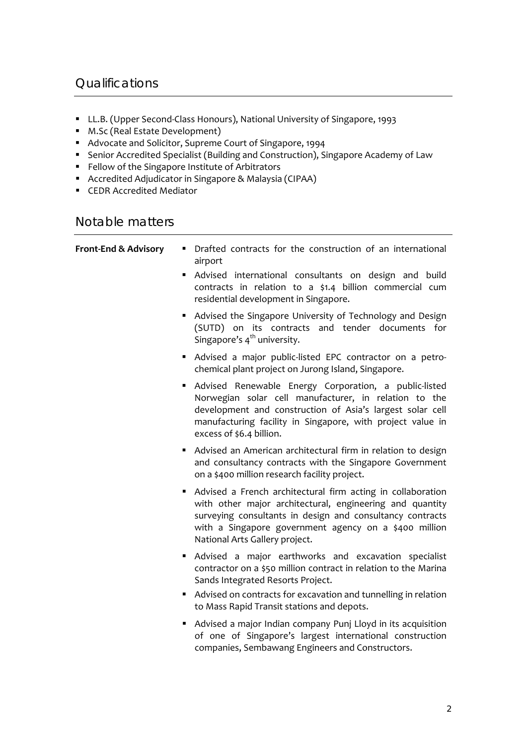# **Qualifications**

- LL.B. (Upper Second-Class Honours), National University of Singapore, 1993
- M.Sc (Real Estate Development)
- Advocate and Solicitor, Supreme Court of Singapore, 1994
- Senior Accredited Specialist (Building and Construction), Singapore Academy of Law
- Fellow of the Singapore Institute of Arbitrators
- Accredited Adjudicator in Singapore & Malaysia (CIPAA)
- CEDR Accredited Mediator

## Notable matters

| <b>Front-End &amp; Advisory</b> | Drafted contracts for the construction of an international<br>$\blacksquare$<br>airport                                                                                                                                                                                           |
|---------------------------------|-----------------------------------------------------------------------------------------------------------------------------------------------------------------------------------------------------------------------------------------------------------------------------------|
|                                 | Advised international consultants on design and build<br>contracts in relation to a \$1.4 billion commercial cum<br>residential development in Singapore.                                                                                                                         |
|                                 | • Advised the Singapore University of Technology and Design<br>(SUTD) on its contracts and tender documents for<br>Singapore's 4 <sup>th</sup> university.                                                                                                                        |
|                                 | Advised a major public-listed EPC contractor on a petro-<br>$\blacksquare$<br>chemical plant project on Jurong Island, Singapore.                                                                                                                                                 |
|                                 | Advised Renewable Energy Corporation, a public-listed<br>Norwegian solar cell manufacturer, in relation to the<br>development and construction of Asia's largest solar cell<br>manufacturing facility in Singapore, with project value in<br>excess of \$6.4 billion.             |
|                                 | Advised an American architectural firm in relation to design<br>and consultancy contracts with the Singapore Government<br>on a \$400 million research facility project.                                                                                                          |
|                                 | • Advised a French architectural firm acting in collaboration<br>with other major architectural, engineering and quantity<br>surveying consultants in design and consultancy contracts<br>with a Singapore government agency on a \$400 million<br>National Arts Gallery project. |
|                                 | Advised a major earthworks and excavation specialist                                                                                                                                                                                                                              |

- Advised a major earthworks and excavation specialist contractor on a \$50 million contract in relation to the Marina Sands Integrated Resorts Project.
- Advised on contracts for excavation and tunnelling in relation to Mass Rapid Transit stations and depots.
- Advised a major Indian company Punj Lloyd in its acquisition of one of Singapore's largest international construction companies, Sembawang Engineers and Constructors.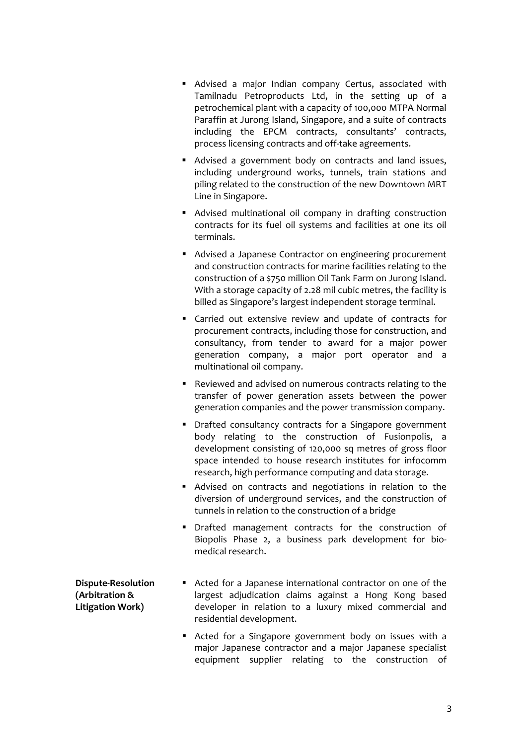- Advised a major Indian company Certus, associated with Tamilnadu Petroproducts Ltd, in the setting up of a petrochemical plant with a capacity of 100,000 MTPA Normal Paraffin at Jurong Island, Singapore, and a suite of contracts including the EPCM contracts, consultants' contracts, process licensing contracts and off‐take agreements.
- Advised a government body on contracts and land issues, including underground works, tunnels, train stations and piling related to the construction of the new Downtown MRT Line in Singapore.
- Advised multinational oil company in drafting construction contracts for its fuel oil systems and facilities at one its oil terminals.
- Advised a Japanese Contractor on engineering procurement and construction contracts for marine facilities relating to the construction of a \$750 million Oil Tank Farm on Jurong Island. With a storage capacity of 2.28 mil cubic metres, the facility is billed as Singapore's largest independent storage terminal.
- Carried out extensive review and update of contracts for procurement contracts, including those for construction, and consultancy, from tender to award for a major power generation company, a major port operator and a multinational oil company.
- Reviewed and advised on numerous contracts relating to the transfer of power generation assets between the power generation companies and the power transmission company.
- **•** Drafted consultancy contracts for a Singapore government body relating to the construction of Fusionpolis, a development consisting of 120,000 sq metres of gross floor space intended to house research institutes for infocomm research, high performance computing and data storage.
- Advised on contracts and negotiations in relation to the diversion of underground services, and the construction of tunnels in relation to the construction of a bridge
- Drafted management contracts for the construction of Biopolis Phase 2, a business park development for bio‐ medical research.

#### **Dispute‐Resolution (Arbitration & Litigation Work)**

- Acted for a Japanese international contractor on one of the largest adjudication claims against a Hong Kong based developer in relation to a luxury mixed commercial and residential development.
- Acted for a Singapore government body on issues with a major Japanese contractor and a major Japanese specialist equipment supplier relating to the construction of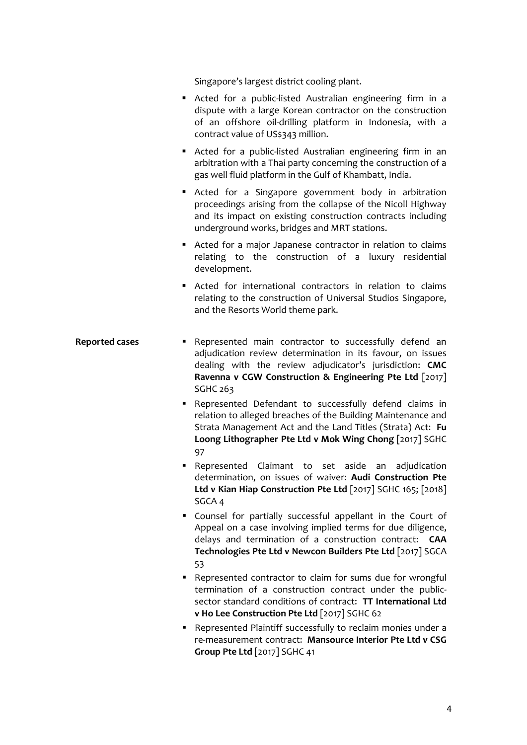Singapore's largest district cooling plant.

- Acted for a public-listed Australian engineering firm in a dispute with a large Korean contractor on the construction of an offshore oil‐drilling platform in Indonesia, with a contract value of US\$343 million.
- Acted for a public-listed Australian engineering firm in an arbitration with a Thai party concerning the construction of a gas well fluid platform in the Gulf of Khambatt, India.
- Acted for a Singapore government body in arbitration proceedings arising from the collapse of the Nicoll Highway and its impact on existing construction contracts including underground works, bridges and MRT stations.
- Acted for a major Japanese contractor in relation to claims relating to the construction of a luxury residential development.
- Acted for international contractors in relation to claims relating to the construction of Universal Studios Singapore, and the Resorts World theme park.
- **Reported cases Represented** main contractor to successfully defend an adjudication review determination in its favour, on issues dealing with the review adjudicator's jurisdiction: **CMC Ravenna v CGW Construction & Engineering Pte Ltd** [2017] SGHC 263
	- Represented Defendant to successfully defend claims in relation to alleged breaches of the Building Maintenance and Strata Management Act and the Land Titles (Strata) Act: **Fu Loong Lithographer Pte Ltd v Mok Wing Chong** [2017] SGHC 97
	- **-** Represented Claimant to set aside an adjudication determination, on issues of waiver: **Audi Construction Pte Ltd v Kian Hiap Construction Pte Ltd** [2017] SGHC 165; [2018] SGCA 4
	- Counsel for partially successful appellant in the Court of Appeal on a case involving implied terms for due diligence, delays and termination of a construction contract: **CAA Technologies Pte Ltd v Newcon Builders Pte Ltd** [2017] SGCA 53
	- Represented contractor to claim for sums due for wrongful termination of a construction contract under the public‐ sector standard conditions of contract: **TT International Ltd v Ho Lee Construction Pte Ltd** [2017] SGHC 62
	- Represented Plaintiff successfully to reclaim monies under a re‐measurement contract: **Mansource Interior Pte Ltd v CSG Group Pte Ltd** [2017] SGHC 41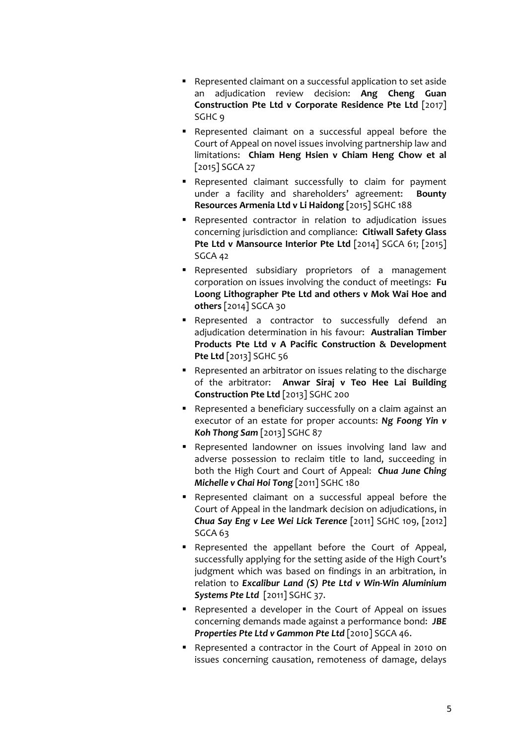- Represented claimant on a successful application to set aside an adjudication review decision: **Ang Cheng Guan Construction Pte Ltd v Corporate Residence Pte Ltd** [2017] SGHC 9
- Represented claimant on a successful appeal before the Court of Appeal on novel issues involving partnership law and limitations: **Chiam Heng Hsien v Chiam Heng Chow et al** [2015] SGCA 27
- Represented claimant successfully to claim for payment under a facility and shareholders' agreement: **Bounty Resources Armenia Ltd v Li Haidong** [2015] SGHC 188
- Represented contractor in relation to adjudication issues concerning jurisdiction and compliance: **Citiwall Safety Glass Pte Ltd v Mansource Interior Pte Ltd** [2014] SGCA 61; [2015] SGCA 42
- Represented subsidiary proprietors of a management corporation on issues involving the conduct of meetings: **Fu Loong Lithographer Pte Ltd and others v Mok Wai Hoe and others** [2014] SGCA 30
- Represented a contractor to successfully defend an adjudication determination in his favour: **Australian Timber Products Pte Ltd v A Pacific Construction & Development Pte Ltd** [2013] SGHC 56
- Represented an arbitrator on issues relating to the discharge of the arbitrator: **Anwar Siraj v Teo Hee Lai Building Construction Pte Ltd** [2013] SGHC 200
- Represented a beneficiary successfully on a claim against an executor of an estate for proper accounts: *Ng Foong Yin v Koh Thong Sam* [2013] SGHC 87
- Represented landowner on issues involving land law and adverse possession to reclaim title to land, succeeding in both the High Court and Court of Appeal: *Chua June Ching Michelle v Chai Hoi Tong* [2011] SGHC 180
- Represented claimant on a successful appeal before the Court of Appeal in the landmark decision on adjudications, in *Chua Say Eng v Lee Wei Lick Terence* [2011] SGHC 109, [2012] SGCA 63
- Represented the appellant before the Court of Appeal, successfully applying for the setting aside of the High Court's judgment which was based on findings in an arbitration, in relation to *Excalibur Land (S) Pte Ltd v Win‐Win Aluminium Systems Pte Ltd* [2011] SGHC 37.
- Represented a developer in the Court of Appeal on issues concerning demands made against a performance bond: *JBE Properties Pte Ltd v Gammon Pte Ltd* [2010] SGCA 46.
- Represented a contractor in the Court of Appeal in 2010 on issues concerning causation, remoteness of damage, delays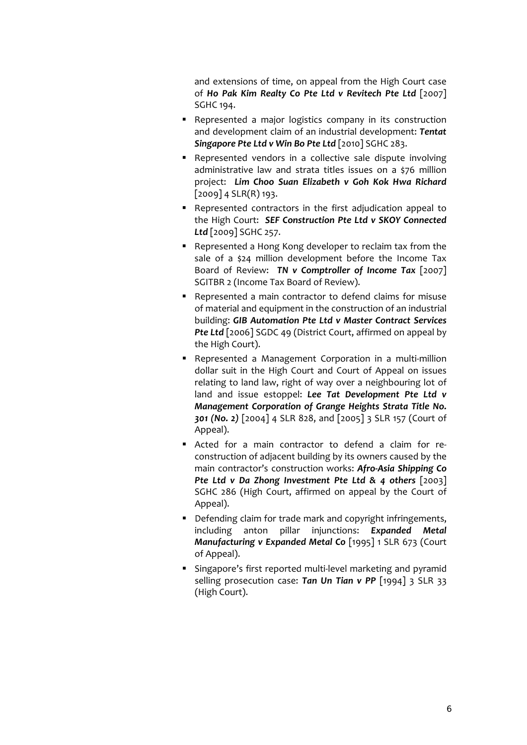and extensions of time, on appeal from the High Court case of *Ho Pak Kim Realty Co Pte Ltd v Revitech Pte Ltd* [2007] SGHC 194.

- **-** Represented a major logistics company in its construction and development claim of an industrial development: *Tentat Singapore Pte Ltd v Win Bo Pte Ltd* [2010] SGHC 283.
- Represented vendors in a collective sale dispute involving administrative law and strata titles issues on a \$76 million project: *Lim Choo Suan Elizabeth v Goh Kok Hwa Richard*  $[2009]$  4 SLR(R) 193.
- Represented contractors in the first adjudication appeal to the High Court: *SEF Construction Pte Ltd v SKOY Connected Ltd* [2009] SGHC 257.
- Represented a Hong Kong developer to reclaim tax from the sale of a \$24 million development before the Income Tax Board of Review: *TN v Comptroller of Income Tax* [2007] SGITBR 2 (Income Tax Board of Review).
- Represented a main contractor to defend claims for misuse of material and equipment in the construction of an industrial building: *GIB Automation Pte Ltd v Master Contract Services Pte Ltd* [2006] SGDC 49 (District Court, affirmed on appeal by the High Court).
- Represented a Management Corporation in a multi-million dollar suit in the High Court and Court of Appeal on issues relating to land law, right of way over a neighbouring lot of land and issue estoppel: *Lee Tat Development Pte Ltd v Management Corporation of Grange Heights Strata Title No. 301 (No. 2)* [2004] 4 SLR 828, and [2005] 3 SLR 157 (Court of Appeal).
- Acted for a main contractor to defend a claim for reconstruction of adjacent building by its owners caused by the main contractor's construction works: *Afro‐Asia Shipping Co Pte Ltd v Da Zhong Investment Pte Ltd & 4 others* [2003] SGHC 286 (High Court, affirmed on appeal by the Court of Appeal).
- Defending claim for trade mark and copyright infringements, including anton pillar injunctions: *Expanded Metal Manufacturing v Expanded Metal Co* [1995] 1 SLR 673 (Court of Appeal).
- Singapore's first reported multi‐level marketing and pyramid selling prosecution case: *Tan Un Tian v PP* [1994] 3 SLR 33 (High Court).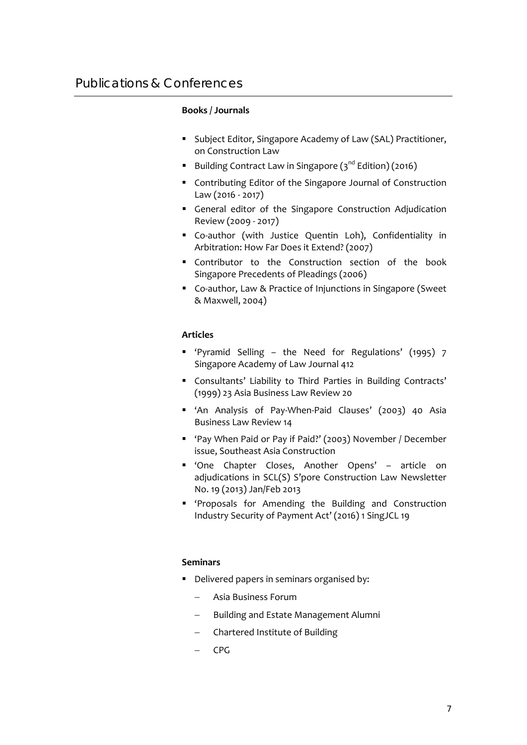#### **Books / Journals**

- **Subject Editor, Singapore Academy of Law (SAL) Practitioner,** on Construction Law
- Building Contract Law in Singapore  $(3<sup>nd</sup> Edition)$  (2016)
- Contributing Editor of the Singapore Journal of Construction Law (2016 ‐ 2017)
- General editor of the Singapore Construction Adjudication Review (2009 ‐ 2017)
- Co-author (with Justice Quentin Loh), Confidentiality in Arbitration: How Far Does it Extend? (2007)
- Contributor to the Construction section of the book Singapore Precedents of Pleadings (2006)
- Co-author, Law & Practice of Injunctions in Singapore (Sweet & Maxwell, 2004)

#### **Articles**

- 'Pyramid Selling the Need for Regulations' (1995) 7 Singapore Academy of Law Journal 412
- Consultants' Liability to Third Parties in Building Contracts' (1999) 23 Asia Business Law Review 20
- 'An Analysis of Pay-When-Paid Clauses' (2003) 40 Asia Business Law Review 14
- 'Pay When Paid or Pay if Paid?' (2003) November / December issue, Southeast Asia Construction
- 'One Chapter Closes, Another Opens' article on adjudications in SCL(S) S'pore Construction Law Newsletter No. 19 (2013) Jan/Feb 2013
- 'Proposals for Amending the Building and Construction Industry Security of Payment Act' (2016) 1 SingJCL 19

#### **Seminars**

- Delivered papers in seminars organised by:
	- Asia Business Forum
	- Building and Estate Management Alumni
	- Chartered Institute of Building
	- CPG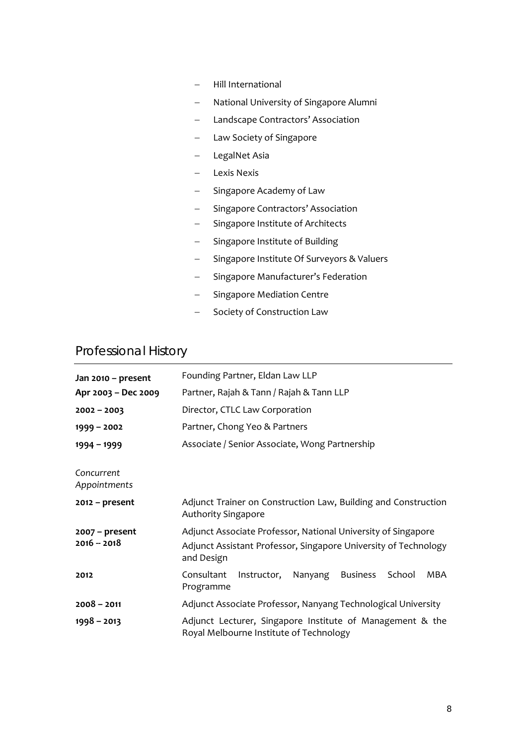- Hill International
- National University of Singapore Alumni
- Landscape Contractors' Association
- Law Society of Singapore
- LegalNet Asia
- Lexis Nexis
- Singapore Academy of Law
- Singapore Contractors' Association
- Singapore Institute of Architects
- Singapore Institute of Building
- Singapore Institute Of Surveyors & Valuers
- Singapore Manufacturer's Federation
- Singapore Mediation Centre
- Society of Construction Law

## Professional History

| Jan 2010 - present                | Founding Partner, Eldan Law LLP                                                                                                                |
|-----------------------------------|------------------------------------------------------------------------------------------------------------------------------------------------|
| Apr 2003 - Dec 2009               | Partner, Rajah & Tann / Rajah & Tann LLP                                                                                                       |
| $2002 - 2003$                     | Director, CTLC Law Corporation                                                                                                                 |
| $1999 - 2002$                     | Partner, Chong Yeo & Partners                                                                                                                  |
| $1994 - 1999$                     | Associate / Senior Associate, Wong Partnership                                                                                                 |
| Concurrent<br>Appointments        |                                                                                                                                                |
| $2012$ – present                  | Adjunct Trainer on Construction Law, Building and Construction<br>Authority Singapore                                                          |
| $2007 - present$<br>$2016 - 2018$ | Adjunct Associate Professor, National University of Singapore<br>Adjunct Assistant Professor, Singapore University of Technology<br>and Design |
| 2012                              | Consultant<br>Nanyang<br><b>Business</b><br>School<br>MBA<br>Instructor,<br>Programme                                                          |
| $2008 - 2011$                     | Adjunct Associate Professor, Nanyang Technological University                                                                                  |
| $1998 - 2013$                     | Adjunct Lecturer, Singapore Institute of Management & the<br>Royal Melbourne Institute of Technology                                           |